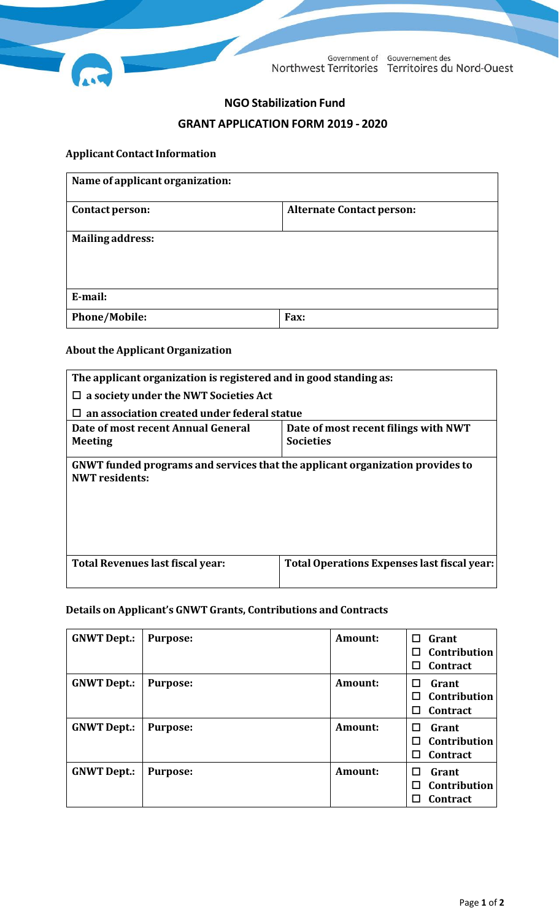

Government of Gouvernement des Northwest Territories Territoires du Nord-Ouest

# **NGOStabilization Fund**

# **GRANT APPLICATION FORM 2019 - 2020**

### **Applicant ContactInformation**

| Name of applicant organization: |                                  |  |
|---------------------------------|----------------------------------|--|
| Contact person:                 | <b>Alternate Contact person:</b> |  |
| <b>Mailing address:</b>         |                                  |  |
| E-mail:                         |                                  |  |
| <b>Phone/Mobile:</b>            | Fax:                             |  |

# **About the Applicant Organization**

| The applicant organization is registered and in good standing as:                                                |                                             |  |  |
|------------------------------------------------------------------------------------------------------------------|---------------------------------------------|--|--|
| a society under the NWT Societies Act<br>⊔                                                                       |                                             |  |  |
| an association created under federal statue                                                                      |                                             |  |  |
| Date of most recent filings with NWT<br>Date of most recent Annual General<br><b>Societies</b><br><b>Meeting</b> |                                             |  |  |
| GNWT funded programs and services that the applicant organization provides to<br><b>NWT</b> residents:           |                                             |  |  |
| Total Revenues last fiscal year:                                                                                 | Total Operations Expenses last fiscal year: |  |  |

## **Details on Applicant's GNWT Grants, Contributions and Contracts**

| <b>GNWT Dept.:</b> | <b>Purpose:</b> | <b>Amount:</b> | Grant<br>П<br>Contribution<br>П<br><b>Contract</b> |
|--------------------|-----------------|----------------|----------------------------------------------------|
| <b>GNWT Dept.:</b> | <b>Purpose:</b> | Amount:        | Grant<br>Contribution<br>П<br><b>Contract</b><br>П |
| <b>GNWT Dept.:</b> | <b>Purpose:</b> | Amount:        | Grant<br>П<br>Contribution<br>П<br>Contract<br>П   |
| <b>GNWT Dept.:</b> | <b>Purpose:</b> | Amount:        | Grant<br>П<br>Contribution<br>П<br>Contract<br>ΙI  |